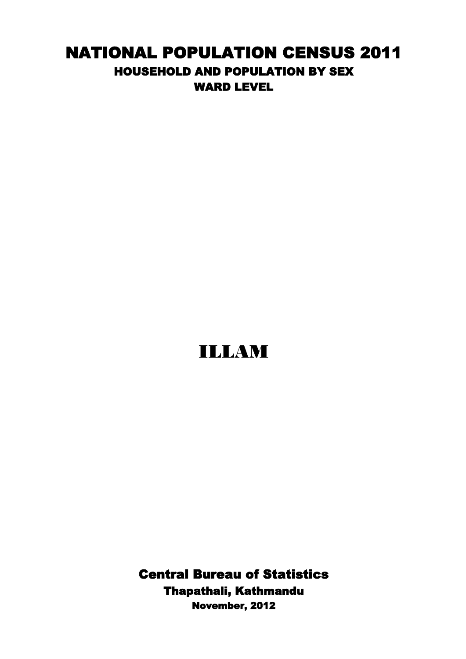## NATIONAL POPULATION CENSUS 2011 HOUSEHOLD AND POPULATION BY SEX WARD LEVEL

## ILLAM

November, 2012 Central Bureau of Statistics Thapathali, Kathmandu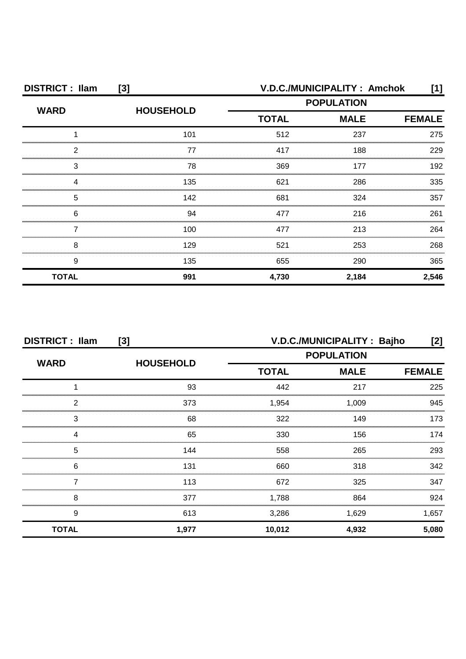| <b>DISTRICT: Ilam</b><br>$[3]$ |                  | V.D.C./MUNICIPALITY: Amchok<br>[1] |             |               |
|--------------------------------|------------------|------------------------------------|-------------|---------------|
| <b>WARD</b>                    | <b>HOUSEHOLD</b> | <b>POPULATION</b>                  |             |               |
|                                |                  | <b>TOTAL</b>                       | <b>MALE</b> | <b>FEMALE</b> |
|                                | 101              | 512                                | 237         | 275           |
| 2                              | 77               | 417                                | 188         | 229           |
| 3                              | 78               | 369                                | 177         | 192           |
| Δ                              | 135              | 621                                | 286         | 335           |
| 5                              | 142              | 681                                | 324         | 357           |
| 6                              | 94               | 477                                | 216         | 261           |
|                                | 100              | 477                                | 213         | 264           |
| 8                              | 129              | 521                                | 253         | 268           |
| 9                              | 135              | 655                                | 290         | 365           |
| <b>TOTAL</b>                   | 991              | 4,730                              | 2,184       | 2,546         |

| <b>DISTRICT: Ilam</b><br>[3] |                  | V.D.C./MUNICIPALITY: Bajho<br>[2] |                                                  |               |
|------------------------------|------------------|-----------------------------------|--------------------------------------------------|---------------|
| <b>WARD</b>                  |                  |                                   | <b>POPULATION</b><br><b>TOTAL</b><br><b>MALE</b> |               |
|                              | <b>HOUSEHOLD</b> |                                   |                                                  | <b>FEMALE</b> |
|                              | 93               | 442                               | 217                                              | 225           |
| 2                            | 373              | 1,954                             | 1.009                                            | 945           |
| 3                            | 68               | 322                               | 149                                              | 173           |
|                              | 65               | 330                               | 156                                              | 174           |
| 5                            | 144              | 558                               | 265                                              | 293           |
| 6                            | 131              | 660                               | 318                                              | 342           |
|                              | 113              | 672                               | 325                                              | 347           |
| 8                            | 377              | 1,788                             | 864                                              | 924           |
| 9                            | 613              | 3,286                             | 1,629                                            | 1,657         |
| <b>TOTAL</b>                 | 1,977            | 10,012                            | 4,932                                            | 5,080         |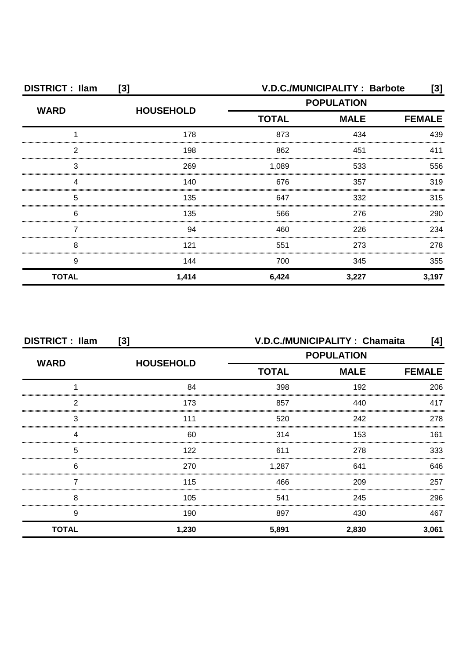| <b>DISTRICT: Ilam</b> | [3]              |                             | <b>V.D.C./MUNICIPALITY: Barbote</b> |               |
|-----------------------|------------------|-----------------------------|-------------------------------------|---------------|
| <b>WARD</b>           | <b>HOUSEHOLD</b> | <b>POPULATION</b>           |                                     |               |
|                       |                  | <b>TOTAL</b><br><b>MALE</b> |                                     | <b>FEMALE</b> |
|                       | 178              | 873                         | 434                                 | 439           |
| 2                     | 198              | 862                         | 451                                 | 411           |
| З                     | 269              | 1,089                       | 533                                 | 556           |
|                       | 140              | 676                         | 357                                 | 319           |
| 5                     | 135              | 647                         | 332                                 | 315           |
| 6                     | 135              | 566                         | 276                                 | 290           |
|                       | 94               | 460                         | 226                                 | 234           |
| 8                     | 121              | 551                         | 273                                 | 278           |
| 9                     | 144              | 700                         | 345                                 | 355           |
| <b>TOTAL</b>          | 1,414            | 6,424                       | 3,227                               | 3,197         |

| <b>DISTRICT: Ilam</b><br>$[3]$ |                  | V.D.C./MUNICIPALITY: Chamaita<br>[4] |             |               |
|--------------------------------|------------------|--------------------------------------|-------------|---------------|
| <b>WARD</b>                    |                  | <b>POPULATION</b>                    |             |               |
|                                | <b>HOUSEHOLD</b> | <b>TOTAL</b>                         | <b>MALE</b> | <b>FEMALE</b> |
|                                | 84               | 398                                  | 192         | 206           |
| 2                              | 173              | 857                                  | 440         | 417           |
| 3                              | 111              | 520                                  | 242         | 278           |
|                                | 60               | 314                                  | 153         | 161           |
| 5                              | 122              | 611                                  | 278         | 333           |
| 6                              | 270              | 1,287                                | 641         | 646           |
|                                | 115              | 466                                  | 209         | 257           |
| 8                              | 105              | 541                                  | 245         | 296           |
| 9                              | 190              | 897                                  | 430         | 467           |
| <b>TOTAL</b>                   | 1,230            | 5,891                                | 2,830       | 3,061         |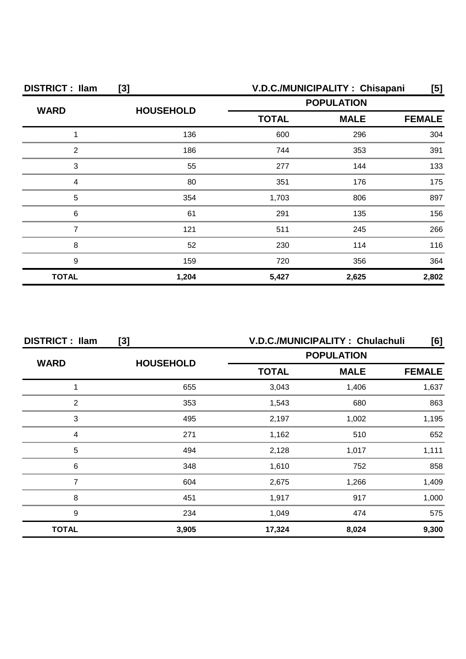| <b>DISTRICT: Ilam</b> | [3]              | V.D.C./MUNICIPALITY: Chisapani<br>[5] |             |               |  |
|-----------------------|------------------|---------------------------------------|-------------|---------------|--|
| <b>WARD</b>           | <b>HOUSEHOLD</b> | <b>POPULATION</b>                     |             |               |  |
|                       |                  | <b>TOTAL</b>                          | <b>MALE</b> | <b>FEMALE</b> |  |
|                       | 136              | 600                                   | 296         | 304           |  |
| 2                     | 186              | 744                                   | 353         | 391           |  |
| 3                     | 55               | 277                                   | 144         | 133           |  |
|                       | 80               | 351                                   | 176         | 175           |  |
| 5                     | 354              | 1,703                                 | 806         | 897           |  |
| 6                     | 61               | 291                                   | 135         | 156           |  |
|                       | 121              | 511                                   | 245         | 266           |  |
| 8                     | 52               | 230                                   | 114         | 116           |  |
| 9                     | 159              | 720                                   | 356         | 364           |  |
| <b>TOTAL</b>          | 1,204            | 5,427                                 | 2,625       | 2,802         |  |

| <b>DISTRICT: Ilam</b><br>[3] |                  | V.D.C./MUNICIPALITY: Chulachuli<br>[6]           |               |       |
|------------------------------|------------------|--------------------------------------------------|---------------|-------|
| <b>WARD</b>                  | <b>HOUSEHOLD</b> | <b>POPULATION</b><br><b>TOTAL</b><br><b>MALE</b> |               |       |
|                              |                  |                                                  | <b>FEMALE</b> |       |
|                              | 655              | 3,043                                            | 1,406         | 1,637 |
| っ                            | 353              | 1,543                                            | 680           | 863   |
| 3                            | 495              | 2,197                                            | 1.002         | 1,195 |
|                              | 271              | 1,162                                            | 510           | 652   |
| 5                            | 494              | 2,128                                            | 1.017         | 1.111 |
| 6                            | 348              | 1,610                                            | 752           | 858   |
|                              | 604              | 2,675                                            | 1,266         | 1,409 |
| 8                            | 451              | 1,917                                            | 917           | 1,000 |
| 9                            | 234              | 1,049                                            | 474           | 575   |
| <b>TOTAL</b>                 | 3,905            | 17,324                                           | 8,024         | 9,300 |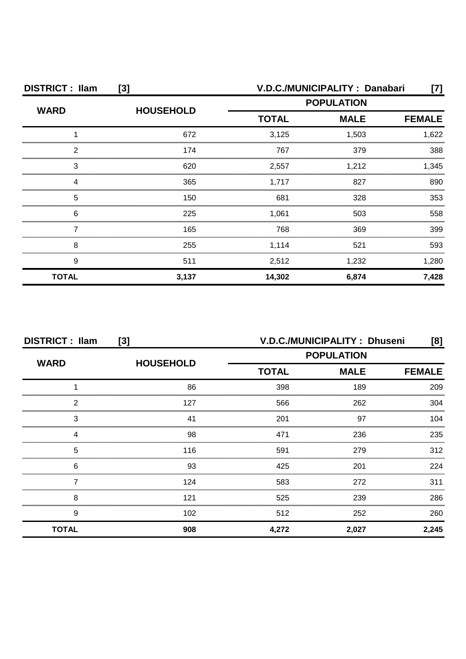| <b>DISTRICT: Ilam</b> | $[3]$            | V.D.C./MUNICIPALITY: Danabari<br>[7] |             |               |
|-----------------------|------------------|--------------------------------------|-------------|---------------|
| <b>WARD</b>           | <b>HOUSEHOLD</b> | <b>POPULATION</b>                    |             |               |
|                       |                  | <b>TOTAL</b>                         | <b>MALE</b> | <b>FEMALE</b> |
|                       | 672              | 3,125                                | 1,503       | 1,622         |
| っ                     | 174              | 767                                  | 379         | 388           |
| 3                     | 620              | 2,557                                | 1,212       | 1,345         |
|                       | 365              | 1,717                                | 827         | 890           |
| 5                     | 150              | 681                                  | 328         | 353           |
| 6                     | 225              | 1,061                                | 503         | 558           |
|                       | 165              | 768                                  | 369         | 399           |
| 8                     | 255              | 1,114                                | 521         | 593           |
| 9                     | 511              | 2,512                                | 1,232       | 1,280         |
| <b>TOTAL</b>          | 3,137            | 14,302                               | 6,874       | 7,428         |

| <b>DISTRICT: Ilam</b><br>[3] |                  | V.D.C./MUNICIPALITY: Dhuseni<br>[8]              |               |       |
|------------------------------|------------------|--------------------------------------------------|---------------|-------|
| <b>WARD</b>                  | <b>HOUSEHOLD</b> | <b>POPULATION</b><br><b>MALE</b><br><b>TOTAL</b> |               |       |
|                              |                  |                                                  | <b>FEMALE</b> |       |
|                              | 86               | 398                                              | 189           | 209   |
| 2                            | 127              | 566                                              | 262           | 304   |
| 3                            | 41               | 201                                              | 97            | 104   |
|                              | 98               | 471                                              | 236           | 235   |
| 5                            | 116              | 591                                              | 279           | 312   |
| 6                            | 93               | 425                                              | 201           | 224   |
|                              | 124              | 583                                              | 272           | 311   |
| 8                            | 121              | 525                                              | 239           | 286   |
| 9                            | 102              | 512                                              | 252           | 260   |
| <b>TOTAL</b>                 | 908              | 4,272                                            | 2,027         | 2,245 |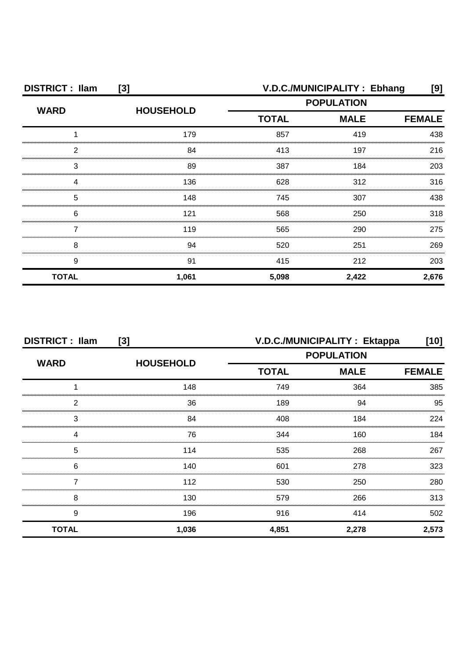| <b>DISTRICT: Ilam</b><br>$[3]$ |                  | V.D.C./MUNICIPALITY : Ebhang<br>[9]              |               |       |
|--------------------------------|------------------|--------------------------------------------------|---------------|-------|
| <b>WARD</b>                    | <b>HOUSEHOLD</b> | <b>POPULATION</b><br><b>TOTAL</b><br><b>MALE</b> |               |       |
|                                |                  |                                                  | <b>FEMALE</b> |       |
|                                | 179              | 857                                              | 419           | 438   |
| 2                              | 84               | 413                                              | 197           | 216   |
| 3                              | 89               | 387                                              | 184           | 203   |
| Δ                              | 136              | 628                                              | 312           | 316   |
| 5                              | 148              | 745                                              | 307           | 438   |
| 6                              | 121              | 568                                              | 250           | 318   |
|                                | 119              | 565                                              | 290           | 275   |
| 8                              | 94               | 520                                              | 251           | 269   |
| 9                              | 91               | 415                                              | 212           | 203   |
| <b>TOTAL</b>                   | 1,061            | 5,098                                            | 2,422         | 2,676 |

| <b>DISTRICT: Ilam</b><br>[3] |                  | V.D.C./MUNICIPALITY: Ektappa<br>[10] |             |               |
|------------------------------|------------------|--------------------------------------|-------------|---------------|
| <b>WARD</b>                  | <b>HOUSEHOLD</b> | <b>POPULATION</b>                    |             |               |
|                              |                  | <b>TOTAL</b>                         | <b>MALE</b> | <b>FEMALE</b> |
|                              | 148              | 749                                  | 364         | 385           |
| 2                            | 36               | 189                                  | 94          | 95            |
| 3                            | 84               | 408                                  | 184         | 224           |
|                              | 76               | 344                                  | 160         | 184           |
| 5                            | 114              | 535                                  | 268         | 267           |
| 6                            | 140              | 601                                  | 278         | 323           |
|                              | 112              | 530                                  | 250         | 280           |
| 8                            | 130              | 579                                  | 266         | 313           |
| 9                            | 196              | 916                                  | 414         | 502           |
| <b>TOTAL</b>                 | 1,036            | 4,851                                | 2,278       | 2,573         |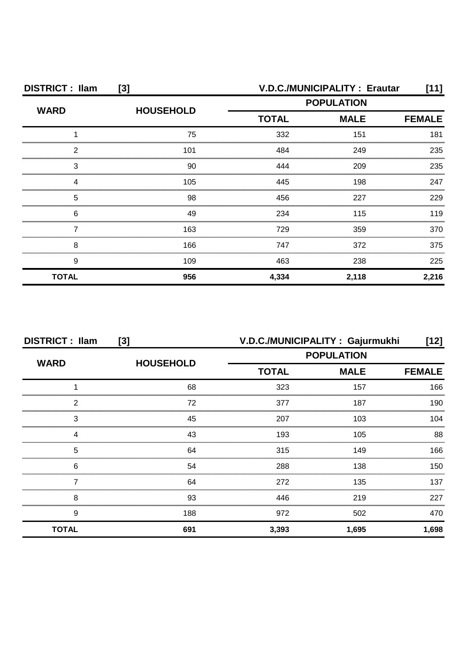| <b>DISTRICT: Ilam</b><br>$[3]$ |                  |              | <b>V.D.C./MUNICIPALITY: Erautar</b><br>[11] |               |  |
|--------------------------------|------------------|--------------|---------------------------------------------|---------------|--|
| <b>WARD</b>                    |                  |              | <b>POPULATION</b>                           |               |  |
|                                | <b>HOUSEHOLD</b> | <b>TOTAL</b> | <b>MALE</b>                                 | <b>FEMALE</b> |  |
|                                | 75               | 332          | 151                                         | 181           |  |
| 2                              | 101              | 484          | 249                                         | 235           |  |
| З                              | 90               | 444          | 209                                         | 235           |  |
|                                | 105              | 445          | 198                                         | 247           |  |
| 5                              | 98               | 456          | 227                                         | 229           |  |
| 6                              | 49               | 234          | 115                                         | 119           |  |
|                                | 163              | 729          | 359                                         | 370           |  |
| 8                              | 166              | 747          | 372                                         | 375           |  |
| 9                              | 109              | 463          | 238                                         | 225           |  |
| <b>TOTAL</b>                   | 956              | 4,334        | 2,118                                       | 2,216         |  |

| <b>DISTRICT: Ilam</b> | [3]              | V.D.C./MUNICIPALITY: Gajurmukhi |               | [12]  |
|-----------------------|------------------|---------------------------------|---------------|-------|
| <b>WARD</b>           |                  | <b>POPULATION</b>               |               |       |
|                       | <b>HOUSEHOLD</b> | <b>MALE</b><br><b>TOTAL</b>     | <b>FEMALE</b> |       |
|                       | 68               | 323                             | 157           | 166   |
| っ                     | 72               | 377                             | 187           | 190   |
| 3                     | 45               | 207                             | 103           | 104   |
|                       | 43               | 193                             | 105           | 88    |
| 5                     | 64               | 315                             | 149           | 166   |
| 6                     | 54               | 288                             | 138           | 150.  |
|                       | 64               | 272                             | 135           | 137   |
| 8                     | 93               | 446                             | 219           | 227   |
| 9                     | 188              | 972                             | 502           | 470   |
| <b>TOTAL</b>          | 691              | 3,393                           | 1,695         | 1,698 |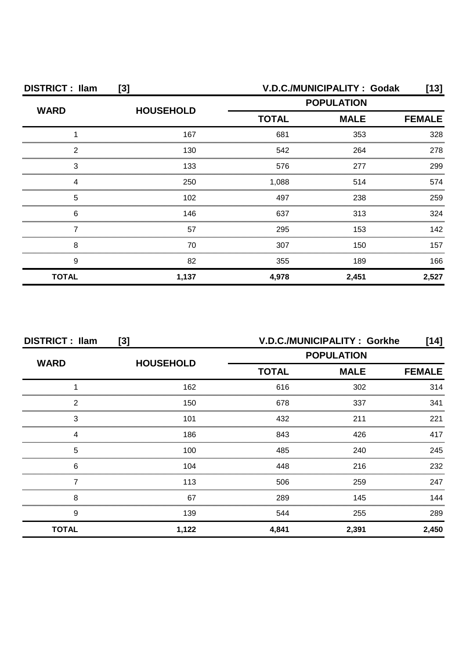| <b>DISTRICT: Ilam</b><br>$[3]$ |                  |              | V.D.C./MUNICIPALITY : Godak | [13]          |
|--------------------------------|------------------|--------------|-----------------------------|---------------|
| <b>WARD</b>                    | <b>HOUSEHOLD</b> |              | <b>POPULATION</b>           |               |
|                                |                  | <b>TOTAL</b> | <b>MALE</b>                 | <b>FEMALE</b> |
|                                | 167              | 681          | 353                         | 328           |
| 2                              | 130              | 542          | 264                         | 278           |
| З                              | 133              | 576          | 277                         | 299           |
|                                | 250              | 1,088        | 514                         | 574           |
| 5                              | 102              | 497          | 238                         | 259           |
| 6                              | 146              | 637          | 313                         | 324           |
|                                | 57               | 295          | 153                         | 142           |
| 8                              | 70               | 307          | 150                         | 157           |
| 9                              | 82               | 355          | 189                         | 166           |
| <b>TOTAL</b>                   | 1,137            | 4,978        | 2,451                       | 2,527         |

| <b>DISTRICT: Ilam</b><br>[3] |                  |                                                  | V.D.C./MUNICIPALITY: Gorkhe | ้14]          |
|------------------------------|------------------|--------------------------------------------------|-----------------------------|---------------|
| <b>WARD</b>                  | <b>HOUSEHOLD</b> | <b>POPULATION</b><br><b>TOTAL</b><br><b>MALE</b> |                             |               |
|                              |                  |                                                  |                             | <b>FEMALE</b> |
|                              | 162              | 616                                              | 302                         | 314           |
| 2                            | 150              | 678                                              | 337                         | 341           |
| 3                            | 101              | 432                                              | 211                         | 221           |
|                              | 186              | 843                                              | 426                         | 417           |
| 5                            | 100              | 485                                              | 240                         | 245           |
| 6                            | 104              | 448                                              | 216                         | 232           |
|                              | 113              | 506                                              | 259                         | 247           |
| 8                            | 67               | 289                                              | 145                         | 144           |
| 9                            | 139              | 544                                              | 255                         | 289           |
| <b>TOTAL</b>                 | 1,122            | 4,841                                            | 2,391                       | 2,450         |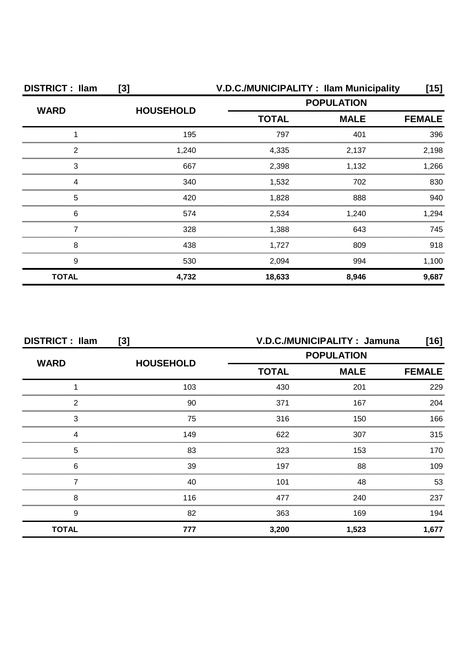| <b>DISTRICT: Ilam</b> | [3]              |                   | V.D.C./MUNICIPALITY: Ilam Municipality | [15]          |
|-----------------------|------------------|-------------------|----------------------------------------|---------------|
| <b>WARD</b>           | <b>HOUSEHOLD</b> | <b>POPULATION</b> |                                        |               |
|                       |                  | <b>TOTAL</b>      | <b>MALE</b>                            | <b>FEMALE</b> |
|                       | 195              | 797               | 401                                    | 396           |
| 2                     | 1,240            | 4,335             | 2,137                                  | 2,198         |
| 3                     | 667              | 2,398             | 1.132                                  | .266          |
| 4                     | 340              | 1,532             | 702                                    | 830           |
| 5                     | 420              | 1,828             | 888                                    | 940           |
| 6                     | 574              | 2,534             | 1,240                                  | 1.294         |
|                       | 328              | 1,388             | 643                                    | 745           |
| 8                     | 438              | 1,727             | 809                                    | 918           |
| 9                     | 530              | 2,094             | 994                                    | 1,100         |
| <b>TOTAL</b>          | 4,732            | 18,633            | 8,946                                  | 9,687         |

| <b>DISTRICT: Ilam</b><br>$[3]$ |                  |                   | V.D.C./MUNICIPALITY: Jamuna | [16]          |
|--------------------------------|------------------|-------------------|-----------------------------|---------------|
|                                |                  | <b>POPULATION</b> |                             |               |
| <b>WARD</b>                    | <b>HOUSEHOLD</b> | <b>TOTAL</b>      | <b>MALE</b>                 | <b>FEMALE</b> |
|                                | 103              | 430               | 201                         | 229           |
| っ                              | 90               | 371               | 167                         | 204           |
| 3                              | 75               | 316               | 150                         | 166           |
|                                | 149              | 622               | 307                         | 315           |
| 5                              | 83               | 323               | 153                         | 170           |
| 6                              | 39               | 197               | 88                          | 109           |
|                                | 40               | 101               | 48                          | 53            |
| 8                              | 116              | 477               | 240                         | 237           |
| 9                              | 82               | 363               | 169                         | 194           |
| <b>TOTAL</b>                   | 777              | 3,200             | 1,523                       | 1,677         |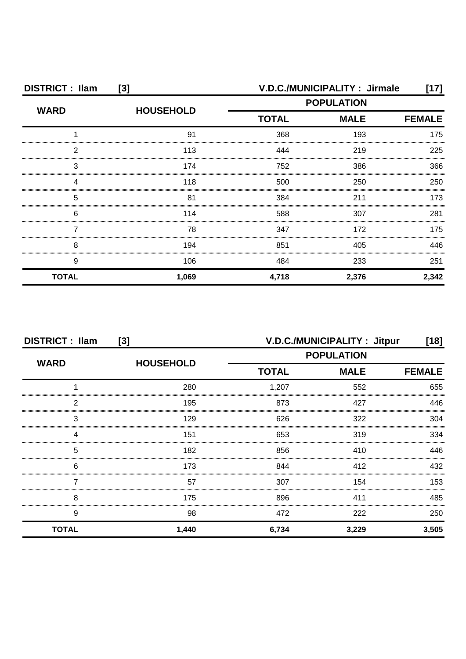| <b>DISTRICT: Ilam</b><br>$[3]$ |                  |              | V.D.C./MUNICIPALITY: Jirmale | [17]          |
|--------------------------------|------------------|--------------|------------------------------|---------------|
| <b>WARD</b>                    | <b>HOUSEHOLD</b> |              | <b>POPULATION</b>            |               |
|                                |                  | <b>TOTAL</b> | <b>MALE</b>                  | <b>FEMALE</b> |
|                                | 91               | 368          | 193                          | 175           |
| 2                              | 113              | 444          | 219                          | 225           |
| З                              | 174              | 752          | 386                          | 366           |
|                                | 118              | 500          | 250                          | 250           |
| 5                              | 81               | 384          | 211                          | 173           |
| 6                              | 114              | 588          | 307                          | 281           |
|                                | 78               | 347          | 172                          | 175           |
| 8                              | 194              | 851          | 405                          | 446           |
| 9                              | 106              | 484          | 233                          | 251           |
| <b>TOTAL</b>                   | 1,069            | 4,718        | 2,376                        | 2,342         |

| <b>DISTRICT: Ilam</b><br>[3] |                  |              | V.D.C./MUNICIPALITY: Jitpur | [18]          |
|------------------------------|------------------|--------------|-----------------------------|---------------|
| <b>WARD</b>                  | <b>HOUSEHOLD</b> |              | <b>POPULATION</b>           |               |
|                              |                  | <b>TOTAL</b> | <b>MALE</b>                 | <b>FEMALE</b> |
|                              | 280              | 1,207        | 552                         | 655           |
| 2                            | 195              | 873          | 427                         | 446           |
| 3                            | 129              | 626          | 322                         | 304           |
|                              | 151              | 653          | 319                         | 334           |
| 5                            | 182              | 856          | 410                         | 446           |
| 6                            | 173              | 844          | 412                         | 432           |
|                              | 57               | 307          | 154                         | 153           |
| 8                            | 175              | 896          | 411                         | 485           |
| 9                            | 98               | 472          | 222                         | 250           |
| <b>TOTAL</b>                 | 1,440            | 6,734        | 3,229                       | 3,505         |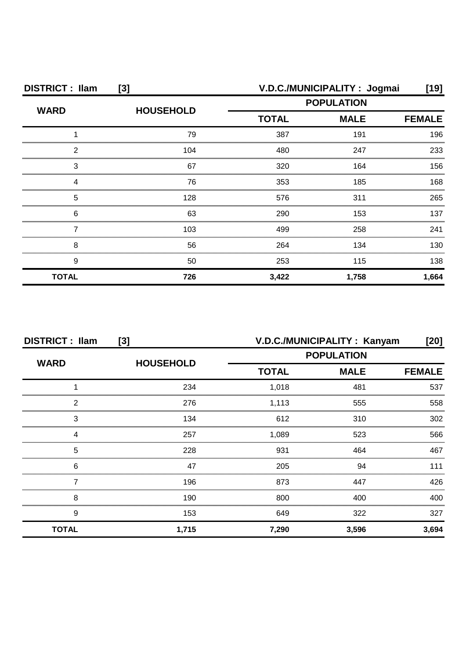| <b>DISTRICT: Ilam</b><br>$[3]$ |                  |                   | V.D.C./MUNICIPALITY: Jogmai | [19]          |
|--------------------------------|------------------|-------------------|-----------------------------|---------------|
| <b>WARD</b>                    | <b>HOUSEHOLD</b> | <b>POPULATION</b> |                             |               |
|                                |                  | <b>TOTAL</b>      | <b>MALE</b>                 | <b>FEMALE</b> |
|                                | 79               | 387               | 191                         | 196           |
| 2                              | 104              | 480               | 247                         | 233           |
| 3                              | 67               | 320               | 164                         | 156           |
| Δ                              | 76               | 353               | 185                         | 168           |
| 5                              | 128              | 576               | 311                         | 265           |
| 6                              | 63               | 290               | 153                         | 137           |
|                                | 103              | 499               | 258                         | 241           |
| 8                              | 56               | 264               | 134                         | 130           |
| 9                              | 50               | 253               | 115                         | 138           |
| <b>TOTAL</b>                   | 726              | 3,422             | 1,758                       | 1,664         |

| <b>DISTRICT: Ilam</b><br>[3] |                  |                   | V.D.C./MUNICIPALITY: Kanyam | [20]          |
|------------------------------|------------------|-------------------|-----------------------------|---------------|
| <b>WARD</b>                  | <b>HOUSEHOLD</b> | <b>POPULATION</b> |                             |               |
|                              |                  | <b>TOTAL</b>      | <b>MALE</b>                 | <b>FEMALE</b> |
|                              | 234              | 1,018             | 481                         | 537           |
| っ                            | 276              | 1,113             | 555                         | 558           |
| 3                            | 134              | 612               | 310                         | 302           |
|                              | 257              | 1,089             | 523                         | 566           |
| 5                            | 228              | 931               | 464                         | 467           |
| 6                            | 47               | 205               | 94                          | 111           |
|                              | 196              | 873               | 447                         | 426           |
| 8                            | 190              | 800               | 400                         | 400           |
| 9                            | 153              | 649               | 322                         | 327           |
| <b>TOTAL</b>                 | 1,715            | 7,290             | 3,596                       | 3,694         |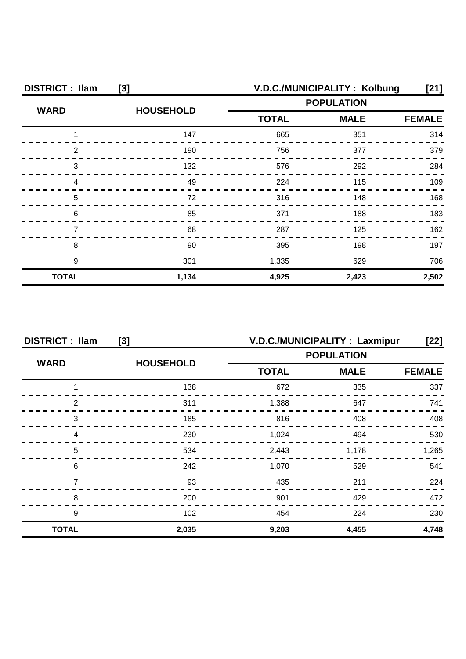| <b>DISTRICT: Ilam</b><br>[3] |                  |              | V.D.C./MUNICIPALITY: Kolbung | $[21]$        |
|------------------------------|------------------|--------------|------------------------------|---------------|
| <b>WARD</b>                  | <b>HOUSEHOLD</b> |              | <b>POPULATION</b>            |               |
|                              |                  | <b>TOTAL</b> | <b>MALE</b>                  | <b>FEMALE</b> |
|                              | 147              | 665          | 351                          | 314           |
| 2                            | 190              | 756          | 377                          | 379           |
| З                            | 132              | 576          | 292                          | 284           |
|                              | 49               | 224          | 115                          | 109           |
| 5                            | 72               | 316          | 148                          | 168           |
| 6                            | 85               | 371          | 188                          | 183           |
|                              | 68               | 287          | 125                          | 162           |
| 8                            | 90               | 395          | 198                          | 197           |
| 9                            | 301              | 1,335        | 629                          | 706           |
| <b>TOTAL</b>                 | 1,134            | 4,925        | 2,423                        | 2,502         |

| <b>DISTRICT: Ilam</b><br>[3] |                  |                   | V.D.C./MUNICIPALITY : Laxmipur | [22]          |
|------------------------------|------------------|-------------------|--------------------------------|---------------|
| <b>WARD</b>                  |                  | <b>POPULATION</b> |                                |               |
|                              | <b>HOUSEHOLD</b> | <b>TOTAL</b>      | <b>MALE</b>                    | <b>FEMALE</b> |
|                              | 138              | 672               | 335                            | 337           |
| っ                            | 311              | 1,388             | 647                            | 741           |
| 3                            | 185              | 816               | 408                            | 408           |
|                              | 230              | 1,024             | 494                            | 530           |
| 5                            | 534              | 2,443             | 1.178                          | .265          |
| 6                            | 242              | 1.070             | 529                            | 541           |
|                              | 93               | 435               | 211                            | 224           |
| 8                            | 200              | 901               | 429                            | 472           |
| 9                            | 102              | 454               | 224                            | 230           |
| <b>TOTAL</b>                 | 2,035            | 9,203             | 4.455                          | 4,748         |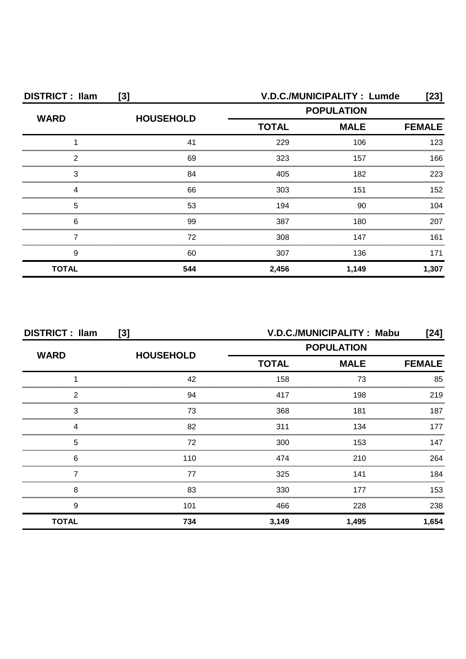| <b>DISTRICT: Ilam</b><br>[3] |                  | V.D.C./MUNICIPALITY: Lumde<br>[23] |                   |               |
|------------------------------|------------------|------------------------------------|-------------------|---------------|
| <b>WARD</b>                  | <b>HOUSEHOLD</b> |                                    | <b>POPULATION</b> |               |
|                              |                  | <b>TOTAL</b>                       | <b>MALE</b>       | <b>FEMALE</b> |
|                              | 41               | 229                                | 106               | 123           |
| າ                            | 69               | 323                                | 157               | 166           |
| 3                            | 84               | 405                                | 182               | 223           |
|                              | 66               | 303                                | 151               | 152           |
| 5                            | 53               | 194                                | 90                | 104           |
| 6                            | 99               | 387                                | 180               | 207           |
|                              | 72               | 308                                | 147               | 161           |
| 9                            | 60               | 307                                | 136               | 171           |
| <b>TOTAL</b>                 | 544              | 2,456                              | 1,149             | 1,307         |

| <b>DISTRICT: Ilam</b> | [3]              | V.D.C./MUNICIPALITY: Mabu<br>[24] |             |               |  |
|-----------------------|------------------|-----------------------------------|-------------|---------------|--|
| <b>WARD</b>           | <b>HOUSEHOLD</b> | <b>POPULATION</b>                 |             |               |  |
|                       |                  | <b>TOTAL</b>                      | <b>MALE</b> | <b>FEMALE</b> |  |
|                       | 42               | 158                               | 73          | 85            |  |
| 2                     | 94               | 417                               | 198         | 219           |  |
| 3                     | 73               | 368                               | 181         | 187           |  |
|                       | 82               | 311                               | 134         |               |  |
| 5                     | 72               | 300                               | 153         | 147           |  |
| 6                     | 110              | 474                               | 210         | 264           |  |
|                       | 77               | 325                               | 141         | 184           |  |
| 8                     | 83               | 330                               | 177         | 153           |  |
| 9                     | 101              | 466                               | 228         | 238           |  |
| <b>TOTAL</b>          | 734              | 3,149                             | 1,495       | 1,654         |  |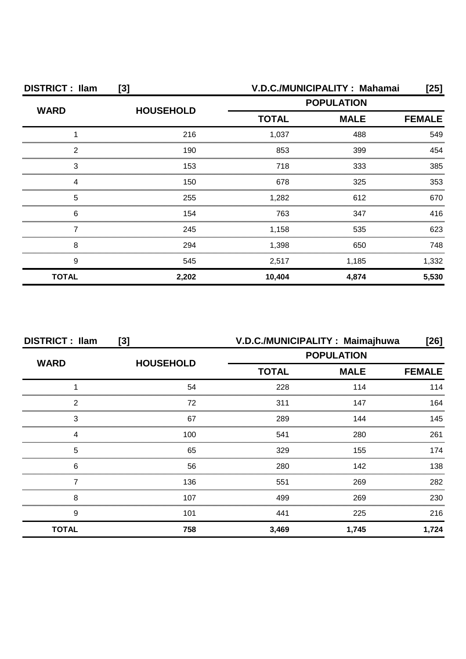| <b>DISTRICT: Ilam</b><br>$[3]$ |                  | V.D.C./MUNICIPALITY: Mahamai<br>[25] |             |               |
|--------------------------------|------------------|--------------------------------------|-------------|---------------|
| <b>WARD</b>                    | <b>HOUSEHOLD</b> | <b>POPULATION</b>                    |             |               |
|                                |                  | <b>TOTAL</b>                         | <b>MALE</b> | <b>FEMALE</b> |
|                                | 216              | 1,037                                | 488         | 549           |
| 2                              | 190              | 853                                  | 399         | 454           |
| 3                              | 153              | 718                                  | 333         | 385           |
|                                | 150              | 678                                  | 325         | 353           |
| 5                              | 255              | 1,282                                | 612         | 670           |
| 6                              | 154              | 763                                  | 347         | 416           |
|                                | 245              | 1,158                                | 535         | 623           |
| 8                              | 294              | 1,398                                | 650         | 748           |
| 9                              | 545              | 2,517                                | 1,185       | 1,332         |
| <b>TOTAL</b>                   | 2,202            | 10,404                               | 4,874       | 5,530         |

| <b>DISTRICT: Ilam</b><br>$[3]$ |                  | V.D.C./MUNICIPALITY: Maimajhuwa |             | $[26]$        |
|--------------------------------|------------------|---------------------------------|-------------|---------------|
|                                |                  | <b>POPULATION</b>               |             |               |
| <b>WARD</b>                    | <b>HOUSEHOLD</b> | <b>TOTAL</b>                    | <b>MALE</b> | <b>FEMALE</b> |
|                                | 54               | 228                             | 114         | 114           |
| 2                              | 72               | 311                             | 147         | 164           |
| 3                              | 67               | 289                             | 144         | 145           |
|                                | 100              | 541                             | 280         | 261           |
| 5                              | 65               | 329                             | 155         | 174           |
| 6                              | 56               | 280                             | 142         | 138           |
|                                | 136              | 551                             | 269         | 282           |
| 8                              | 107              | 499                             | 269         | 230           |
| 9                              | 101              | 441                             | 225         | 216           |
| <b>TOTAL</b>                   | 758              | 3,469                           | 1,745       | 1,724         |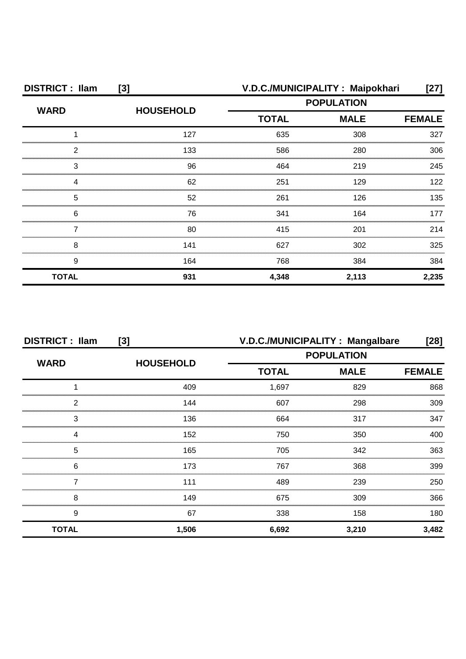| <b>DISTRICT: Ilam</b> | $[3]$            | V.D.C./MUNICIPALITY: Maipokhari |                   | [27]  |
|-----------------------|------------------|---------------------------------|-------------------|-------|
| <b>WARD</b>           | <b>HOUSEHOLD</b> |                                 | <b>POPULATION</b> |       |
|                       |                  | <b>TOTAL</b><br><b>MALE</b>     | <b>FEMALE</b>     |       |
|                       | 127              | 635                             | 308               | 327   |
| 2                     | 133              | 586                             | 280               | 306   |
| 3                     | 96               | 464                             | 219               | 245   |
|                       | 62               | 251                             | 129               | 122   |
| 5                     | 52               | 261                             | 126               | 135   |
| 6                     | 76               | 341                             | 164               | 177   |
|                       | 80               | 415                             | 201               | 214   |
| 8                     | 141              | 627                             | 302               | 325   |
| 9                     | 164              | 768                             | 384               | 384   |
| <b>TOTAL</b>          | 931              | 4,348                           | 2,113             | 2,235 |

| <b>DISTRICT: Ilam</b><br>[3] |                  | V.D.C./MUNICIPALITY: Mangalbare |             | $[28]$        |
|------------------------------|------------------|---------------------------------|-------------|---------------|
|                              |                  | <b>POPULATION</b>               |             |               |
| <b>WARD</b>                  | <b>HOUSEHOLD</b> | <b>TOTAL</b>                    | <b>MALE</b> | <b>FEMALE</b> |
|                              | 409              | 1,697                           | 829         | 868           |
| 2                            | 144              | 607                             | 298         | 309           |
| 3                            | 136              | 664                             | 317         | 347           |
| Δ                            | 152              | 750                             | 350         | 400           |
| 5                            | 165              | 705                             | 342         | 363           |
| 6                            | 173              | 767                             | 368         | 399           |
|                              | 111              | 489                             | 239         | 250           |
| 8                            | 149              | 675                             | 309         | 366           |
| 9                            | 67               | 338                             | 158         | 180           |
| <b>TOTAL</b>                 | 1,506            | 6,692                           | 3,210       | 3,482         |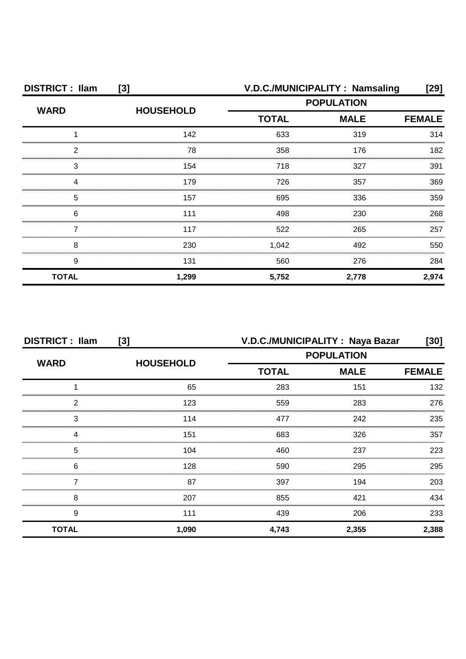| <b>DISTRICT: Ilam</b><br>$[3]$ |                  |                   | V.D.C./MUNICIPALITY: Namsaling | [29]          |
|--------------------------------|------------------|-------------------|--------------------------------|---------------|
| <b>WARD</b>                    | <b>HOUSEHOLD</b> | <b>POPULATION</b> |                                |               |
|                                |                  | <b>TOTAL</b>      | <b>MALE</b>                    | <b>FEMALE</b> |
|                                | 142              | 633               | 319                            | 314           |
| 2                              | 78               | 358               | 176                            | 182           |
| 3                              | 154              | 718               | 327                            | 391           |
| Δ                              | 179              | 726               | 357                            | 369           |
| 5                              | 157              | 695               | 336                            | 359           |
| 6                              | 111              | 498               | 230                            | 268           |
|                                | 117              | 522               | 265                            | 257           |
| 8                              | 230              | 1,042             | 492                            | 550           |
| 9                              | 131              | 560               | 276                            | 284           |
| <b>TOTAL</b>                   | 1,299            | 5,752             | 2,778                          | 2,974         |

| <b>DISTRICT: Ilam</b><br>[3] |                  | V.D.C./MUNICIPALITY: Naya Bazar |                   | [30]          |
|------------------------------|------------------|---------------------------------|-------------------|---------------|
| <b>WARD</b>                  |                  |                                 | <b>POPULATION</b> |               |
|                              | <b>HOUSEHOLD</b> | <b>TOTAL</b>                    | <b>MALE</b>       | <b>FEMALE</b> |
|                              | 65               | 283                             | 151               | 132           |
| 2                            | 123              | 559                             | 283               | 276           |
| 3                            | 114              | 477                             | 242               | 235           |
|                              | 151              | 683                             | 326               | 357           |
| 5                            | 104              | 460                             | 237               | 223           |
| 6                            | 128              | 590                             | 295               | 295           |
|                              | 87               | 397                             | 194               | 203           |
| 8                            | 207              | 855                             | 421               | 434           |
| 9                            | 111              | 439                             | 206               | 233           |
| <b>TOTAL</b>                 | 1,090            | 4,743                           | 2,355             | 2,388         |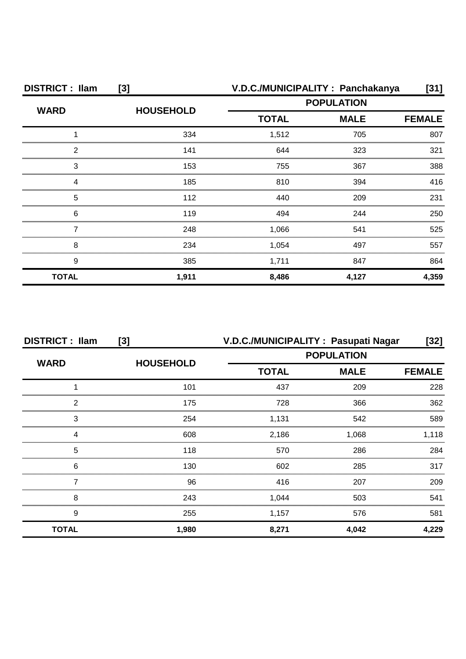| <b>DISTRICT: Ilam</b><br>$[3]$ |                  | V.D.C./MUNICIPALITY: Panchakanya<br>$[31]$ |             |               |
|--------------------------------|------------------|--------------------------------------------|-------------|---------------|
| <b>WARD</b>                    |                  | <b>POPULATION</b>                          |             |               |
|                                | <b>HOUSEHOLD</b> | <b>TOTAL</b>                               | <b>MALE</b> | <b>FEMALE</b> |
|                                | 334              | 1,512                                      | 705         | 807           |
| 2                              | 141              | 644                                        | 323         | 321           |
| 3                              | 153              | 755                                        | 367         | 388           |
| Δ                              | 185              | 810                                        | 394         | 416           |
| 5                              | 112              | 440                                        | 209         | 231           |
| 6                              | 119              | 494                                        | 244         | 250           |
|                                | 248              | 1,066                                      | 541         | 525           |
| 8                              | 234              | 1,054                                      | 497         | 557           |
| 9                              | 385              | 1,711                                      | 847         | 864           |
| <b>TOTAL</b>                   | 1,911            | 8,486                                      | 4,127       | 4,359         |

| <b>DISTRICT: Ilam</b> | [3]              |                                                  | V.D.C./MUNICIPALITY: Pasupati Nagar | [32]  |
|-----------------------|------------------|--------------------------------------------------|-------------------------------------|-------|
| <b>WARD</b>           | <b>HOUSEHOLD</b> | <b>POPULATION</b><br><b>TOTAL</b><br><b>MALE</b> |                                     |       |
|                       |                  |                                                  | <b>FEMALE</b>                       |       |
|                       | 101              | 437                                              | 209                                 | 228   |
| າ                     | 175              | 728                                              | 366                                 | 362   |
| 3                     | 254              | 1,131                                            | 542                                 | 589   |
|                       | 608              | 2,186                                            | 1.068                               | .118  |
| 5                     | 118              | 570                                              | 286                                 | 284   |
| 6                     | 130              | 602                                              | 285                                 | 317   |
|                       | 96               | 416                                              | 207                                 | 209   |
| 8                     | 243              | 1,044                                            | 503                                 | 541   |
| 9                     | 255              | 1,157                                            | 576                                 | 581   |
| <b>TOTAL</b>          | 1,980            | 8,271                                            | 4,042                               | 4.229 |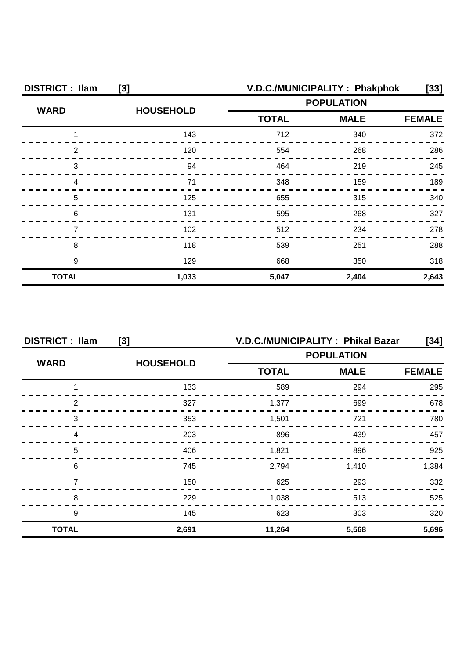| <b>DISTRICT: Ilam</b><br>$[3]$ |                  |                   | V.D.C./MUNICIPALITY: Phakphok | [33]          |
|--------------------------------|------------------|-------------------|-------------------------------|---------------|
| <b>WARD</b>                    | <b>HOUSEHOLD</b> | <b>POPULATION</b> |                               |               |
|                                |                  | <b>TOTAL</b>      | <b>MALE</b>                   | <b>FEMALE</b> |
|                                | 143              | 712               | 340                           | 372           |
| 2                              | 120              | 554               | 268                           | 286           |
| 3                              | 94               | 464               | 219                           | 245           |
|                                | 71               | 348               | 159                           | 189           |
| 5                              | 125              | 655               | 315                           | 340           |
| 6                              | 131              | 595               | 268                           | 327           |
|                                | 102              | 512               | 234                           | 278           |
| 8                              | 118              | 539               | 251                           | 288           |
| 9                              | 129              | 668               | 350                           | 318           |
| <b>TOTAL</b>                   | 1,033            | 5,047             | 2,404                         | 2,643         |

| <b>DISTRICT: Ilam</b><br>[3] |                  | V.D.C./MUNICIPALITY: Phikal Bazar<br>[34] |             |               |
|------------------------------|------------------|-------------------------------------------|-------------|---------------|
| <b>WARD</b>                  | <b>HOUSEHOLD</b> | <b>POPULATION</b>                         |             |               |
|                              |                  | <b>TOTAL</b>                              | <b>MALE</b> | <b>FEMALE</b> |
|                              | 133              | 589                                       | 294         | 295           |
| っ                            | 327              | 1.377                                     | 699         | 678           |
| 3                            | 353              | 1,501                                     | 721         | 780           |
|                              | 203              | 896                                       | 439         | 457           |
| 5                            | 406              | 1,821                                     | 896         | 925           |
| 6                            | 745              | 2,794                                     | 1,410       | 1.384         |
|                              | 150              | 625                                       | 293         | 332           |
| 8                            | 229              | 1,038                                     | 513         | 525           |
| 9                            | 145              | 623                                       | 303         | 320           |
| <b>TOTAL</b>                 | 2,691            | 11,264                                    | 5,568       | 5,696         |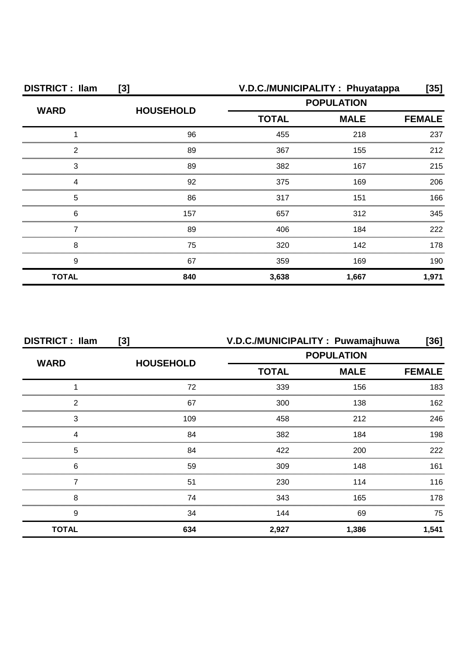| <b>DISTRICT: Ilam</b><br>$[3]$              |                  | V.D.C./MUNICIPALITY: Phuyatappa<br>[35] |                   |               |
|---------------------------------------------|------------------|-----------------------------------------|-------------------|---------------|
| <b>WARD</b>                                 | <b>HOUSEHOLD</b> |                                         | <b>POPULATION</b> |               |
|                                             |                  | <b>TOTAL</b>                            | <b>MALE</b>       | <b>FEMALE</b> |
|                                             | 96               | 455                                     | 218               | 237           |
| 2                                           | 89               | 367                                     | 155               | 212           |
| 3                                           | 89               | 382                                     | 167               | 215           |
| Δ                                           | 92               | 375                                     | 169               | 206           |
| 5                                           | 86               | 317                                     | 151               | 166           |
| 6<br>,,,,,,,,,,,,,,,,,,,,,,,,,,,,,,,,,,,,,, | 157              | 657                                     | 312               | 345           |
|                                             | 89               | 406                                     | 184               | 222           |
| 8                                           | 75               | 320                                     | 142               | 178           |
| 9                                           | 67               | 359                                     | 169               | 190           |
| <b>TOTAL</b>                                | 840              | 3,638                                   | 1,667             | 1,971         |

| <b>DISTRICT: Ilam</b> | [3]              | V.D.C./MUNICIPALITY: Puwamajhuwa |                   | [36]          |
|-----------------------|------------------|----------------------------------|-------------------|---------------|
| <b>WARD</b>           |                  |                                  | <b>POPULATION</b> |               |
|                       | <b>HOUSEHOLD</b> | <b>TOTAL</b>                     | <b>MALE</b>       | <b>FEMALE</b> |
|                       | 72               | 339                              | 156               | 183           |
| 2                     | 67               | 300                              | 138               | 162           |
| 3                     | 109              | 458                              | 212               | 246           |
|                       | 84               | 382                              | 184               | 198           |
| 5                     | 84               | 422                              | 200               | 222           |
| 6                     | 59               | 309                              | 148               | 161           |
|                       | 51               | 230                              | 114               | 116           |
| 8                     | 74               | 343                              | 165               | 178           |
| 9                     | 34               | 144                              | 69                | 75            |
| <b>TOTAL</b>          | 634              | 2,927                            | 1,386             | 1,541         |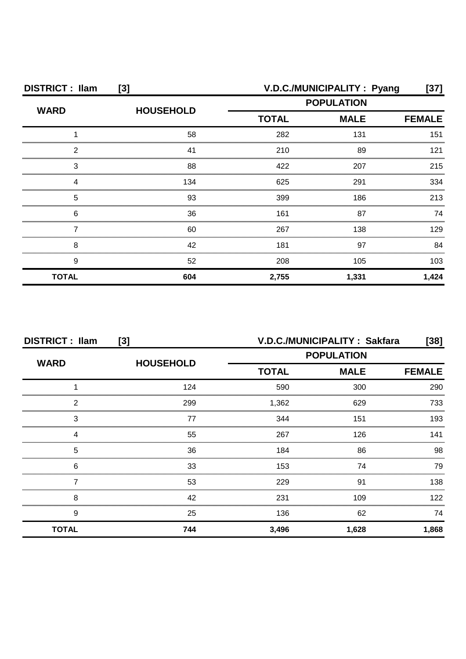| <b>DISTRICT: Ilam</b><br>[3] |                  |                   | V.D.C./MUNICIPALITY : Pyang | [37]          |
|------------------------------|------------------|-------------------|-----------------------------|---------------|
| <b>WARD</b>                  | <b>HOUSEHOLD</b> | <b>POPULATION</b> |                             |               |
|                              |                  | <b>TOTAL</b>      | <b>MALE</b>                 | <b>FEMALE</b> |
|                              | 58               | 282               | 131                         | 151           |
| 2                            | 41               | 210               | 89                          | 121           |
| З                            | 88               | 422               | 207                         | 215           |
|                              | 134              | 625               | 291                         | 334           |
| 5                            | 93               | 399               | 186                         | 213           |
| 6                            | 36               | 161               | 87                          | 74            |
|                              | 60               | 267               | 138                         | 129           |
| 8                            | 42               | 181               | 97                          | 84            |
| 9                            | 52               | 208               | 105                         | 103           |
| <b>TOTAL</b>                 | 604              | 2,755             | 1,331                       | 1,424         |

| <b>DISTRICT: Ilam</b><br>[3] |                  | V.D.C./MUNICIPALITY: Sakfara<br>$[38]$ |             |               |
|------------------------------|------------------|----------------------------------------|-------------|---------------|
|                              |                  | <b>POPULATION</b>                      |             |               |
| <b>WARD</b>                  | <b>HOUSEHOLD</b> | <b>TOTAL</b>                           | <b>MALE</b> | <b>FEMALE</b> |
|                              | 124              | 590                                    | 300         | 290           |
| 2                            | 299              | 1,362                                  | 629         | 733           |
| 3                            | 77               | 344                                    | 151         | 193           |
|                              | 55               | 267                                    | 126         | 141           |
| 5                            | 36               | 184                                    | 86          | 98            |
| 6                            | 33               | 153                                    | 74          | 79            |
|                              | 53               | 229                                    | .91         | 138           |
| 8                            | 42               | 231                                    | 109         | 122           |
| 9                            | 25               | 136                                    | 62          | 74            |
| <b>TOTAL</b>                 | 744              | 3,496                                  | 1,628       | 1,868         |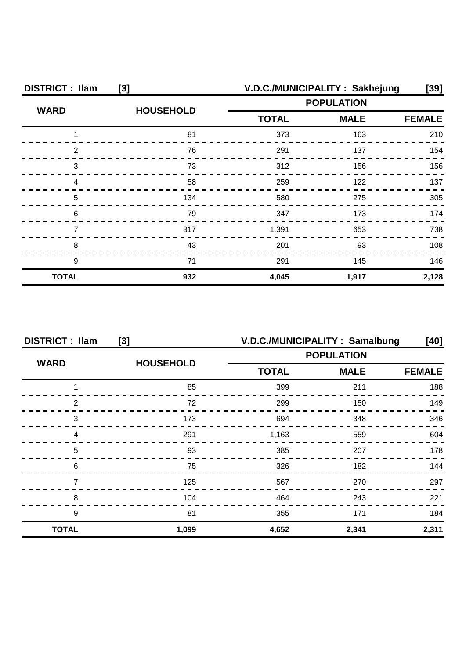| <b>DISTRICT: Ilam</b><br>$[3]$ |                  |                   | V.D.C./MUNICIPALITY: Sakhejung | [39]          |
|--------------------------------|------------------|-------------------|--------------------------------|---------------|
| <b>WARD</b>                    | <b>HOUSEHOLD</b> | <b>POPULATION</b> |                                |               |
|                                |                  | <b>TOTAL</b>      | <b>MALE</b>                    | <b>FEMALE</b> |
|                                | 81               | 373               | 163                            | 210           |
| 2                              | 76               | 291               | 137                            | 154           |
| 3                              | 73               | 312               | 156                            | 156           |
|                                | 58               | 259               | 122                            | 137           |
| 5                              | 134              | 580               | 275                            | 305           |
| 6                              | 79               | 347               | 173                            | 174           |
|                                | 317              | 1,391             | 653                            | 738           |
| 8                              | 43               | 201               | 93                             | 108           |
| 9                              | 71               | 291               | 145                            | 146           |
| <b>TOTAL</b>                   | 932              | 4,045             | 1,917                          | 2,128         |

| <b>DISTRICT: Ilam</b><br>[3] |                  | V.D.C./MUNICIPALITY: Samalbung |                   | [40]          |
|------------------------------|------------------|--------------------------------|-------------------|---------------|
|                              |                  |                                | <b>POPULATION</b> |               |
| <b>WARD</b>                  | <b>HOUSEHOLD</b> | <b>TOTAL</b>                   | <b>MALE</b>       | <b>FEMALE</b> |
|                              | 85               | 399                            | 211               | 188           |
| っ                            | 72               | 299                            | 150               | 149           |
| 3                            | 173              | 694                            | 348               | 346           |
|                              | 291              | 1,163                          | 559               | 604           |
| 5                            | 93               | 385                            | 207               | 178           |
| 6                            | 75               | 326                            | 182               | 144           |
|                              | 125              | 567                            | 270               | 297           |
| 8                            | 104              | 464                            | 243               | 221           |
| 9                            | 81               | 355                            | 171               | 184           |
| <b>TOTAL</b>                 | 1,099            | 4,652                          | 2,341             | 2,311         |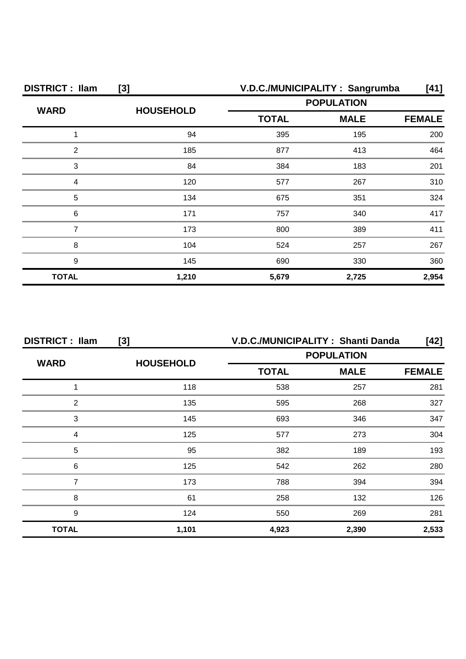| <b>DISTRICT: Ilam</b><br>$[3]$ |                  | V.D.C./MUNICIPALITY: Sangrumba<br>[41] |                   |               |
|--------------------------------|------------------|----------------------------------------|-------------------|---------------|
| <b>WARD</b>                    | <b>HOUSEHOLD</b> |                                        | <b>POPULATION</b> |               |
|                                |                  | <b>TOTAL</b>                           | <b>MALE</b>       | <b>FEMALE</b> |
|                                | 94               | 395                                    | 195               | 200           |
| 2                              | 185              | 877                                    | 413               | 464           |
| З                              | 84               | 384                                    | 183               | 201           |
| Δ                              | 120              | 577                                    | 267               | 310           |
| 5                              | 134              | 675                                    | 351               | 324           |
| 6                              | 171              | 757                                    | 340               | 417           |
|                                | 173              | 800                                    | 389               | 411           |
| 8                              | 104              | 524                                    | 257               | 267           |
| 9                              | 145              | 690                                    | 330               | 360           |
| <b>TOTAL</b>                   | 1,210            | 5,679                                  | 2,725             | 2,954         |

| <b>DISTRICT: Ilam</b> | [3]              | V.D.C./MUNICIPALITY: Shanti Danda |                   | [42]          |
|-----------------------|------------------|-----------------------------------|-------------------|---------------|
| <b>WARD</b>           | <b>HOUSEHOLD</b> |                                   | <b>POPULATION</b> |               |
|                       |                  | <b>TOTAL</b><br><b>MALE</b>       |                   | <b>FEMALE</b> |
|                       | 118              | 538                               | 257               | 281           |
| ົ                     | 135              | 595                               | 268               | 327           |
| 3                     | 145              | 693                               | 346               | 347           |
|                       | 125              | 577                               | 273               | 304           |
| 5                     | 95               | 382                               | 189               | 193           |
| 6                     | 125              | 542                               | 262               | 280           |
|                       | 173              | 788                               | 394               | 394           |
| 8                     | 61               | 258                               | 132               | 126.          |
| 9                     | 124              | 550                               | 269               | 281           |
| <b>TOTAL</b>          | 1,101            | 4,923                             | 2,390             | 2,533         |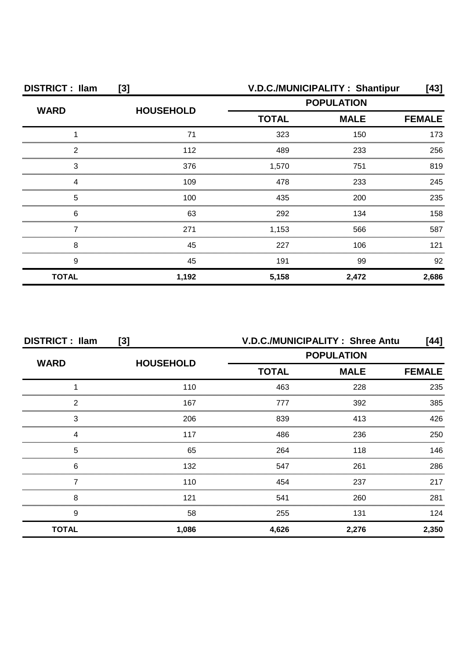| <b>DISTRICT: Ilam</b><br>[3] |                  | V.D.C./MUNICIPALITY: Shantipur<br>[43] |             |               |
|------------------------------|------------------|----------------------------------------|-------------|---------------|
| <b>WARD</b>                  | <b>HOUSEHOLD</b> | <b>POPULATION</b>                      |             |               |
|                              |                  | <b>TOTAL</b>                           | <b>MALE</b> | <b>FEMALE</b> |
|                              | 71               | 323                                    | 150         | 173           |
| 2                            | 112              | 489                                    | 233         | 256           |
| 3                            | 376              | 1,570                                  | 751         | 819           |
|                              | 109              | 478                                    | 233         | 245           |
| 5                            | 100              | 435                                    | 200         | 235           |
| 6                            | 63               | 292                                    | 134         | 158           |
|                              | 271              | 1,153                                  | 566         | 587           |
| 8                            | 45               | 227                                    | 106         | 121           |
| 9                            | 45               | 191                                    | 99          | 92            |
| <b>TOTAL</b>                 | 1,192            | 5,158                                  | 2,472       | 2,686         |

| <b>DISTRICT: Ilam</b><br>$[3]$ |                  | V.D.C./MUNICIPALITY: Shree Antu |             | [44]          |
|--------------------------------|------------------|---------------------------------|-------------|---------------|
|                                | <b>HOUSEHOLD</b> | <b>POPULATION</b>               |             |               |
| <b>WARD</b>                    |                  | <b>TOTAL</b>                    | <b>MALE</b> | <b>FEMALE</b> |
|                                | 110              | 463                             | 228         | 235           |
| 2                              | 167              | 777                             | 392         | 385           |
| 3                              | 206              | 839                             | 413         | 426           |
|                                | 117              | 486                             | 236         | 250           |
| 5                              | 65               | 264                             | 118         | 146           |
| 6                              | 132              | 547                             | 261         | 286           |
|                                | 110              | 454                             | 237         | 217           |
| 8                              | 121              | 541                             | 260         | 281           |
| 9                              | 58               | 255                             | 131         | 124           |
| <b>TOTAL</b>                   | 1,086            | 4,626                           | 2,276       | 2,350         |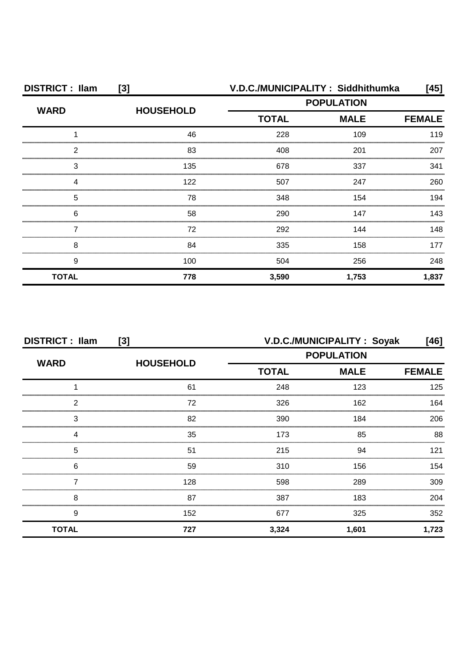| <b>DISTRICT: Ilam</b><br>$[3]$ |                  | V.D.C./MUNICIPALITY: Siddhithumka<br>[45] |             |               |
|--------------------------------|------------------|-------------------------------------------|-------------|---------------|
| <b>WARD</b>                    | <b>HOUSEHOLD</b> | <b>POPULATION</b>                         |             |               |
|                                |                  | <b>TOTAL</b>                              | <b>MALE</b> | <b>FEMALE</b> |
|                                | 46               | 228                                       | 109         | 119           |
| 2                              | 83               | 408                                       | 201         | 207           |
| 3                              | 135              | 678                                       | 337         | 341           |
| Δ                              | 122              | 507                                       | 247         | 260           |
| 5                              | 78               | 348                                       | 154         | 194           |
| 6                              | 58               | 290                                       | 147         | 143           |
|                                | 72               | 292                                       | 144         | 148           |
| 8                              | 84               | 335                                       | 158         | 177           |
| 9                              | 100              | 504                                       | 256         | 248           |
| <b>TOTAL</b>                   | 778              | 3,590                                     | 1,753       | 1,837         |

| <b>DISTRICT: Ilam</b><br>[3] |                  |              | V.D.C./MUNICIPALITY: Soyak | [46]          |
|------------------------------|------------------|--------------|----------------------------|---------------|
| <b>WARD</b>                  | <b>HOUSEHOLD</b> |              | <b>POPULATION</b>          |               |
|                              |                  | <b>TOTAL</b> | <b>MALE</b>                | <b>FEMALE</b> |
|                              | 61               | 248          | 123                        | 125           |
| າ                            | 72               | 326          | 162                        | 164           |
| 3                            | 82               | 390          | 184                        | 206           |
|                              | 35               | 173          | 85                         | 88            |
| 5                            | 51               | 215          | 94                         | 121           |
| 6                            | 59               | 310          | 156                        | 154           |
|                              | 128              | 598          | 289                        | 309           |
| 8                            | 87               | 387          | 183                        | 204           |
| 9                            | 152              | 677          | 325                        | 352           |
| <b>TOTAL</b>                 | 727              | 3,324        | 1,601                      | 1,723         |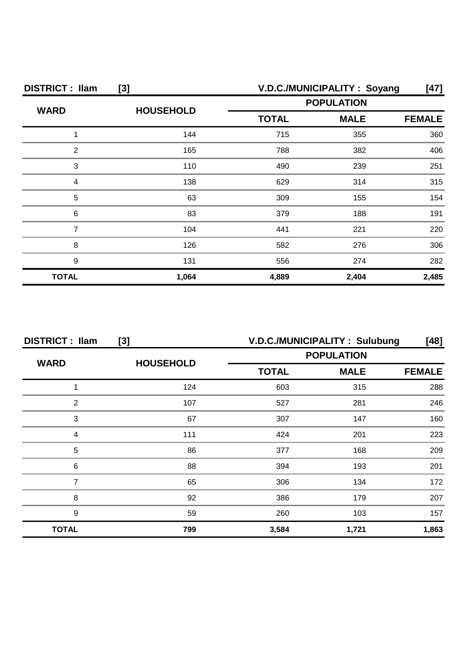| <b>DISTRICT: Ilam</b><br>[3] |                  |              | V.D.C./MUNICIPALITY: Soyang | $[47]$        |
|------------------------------|------------------|--------------|-----------------------------|---------------|
| <b>WARD</b>                  | <b>HOUSEHOLD</b> |              | <b>POPULATION</b>           |               |
|                              |                  | <b>TOTAL</b> | <b>MALE</b>                 | <b>FEMALE</b> |
|                              | 144              | 715          | 355                         | 360           |
| 2                            | 165              | 788          | 382                         | 406           |
| З                            | 110              | 490          | 239                         | 251           |
|                              | 138              | 629          | 314                         | 315           |
| 5                            | 63               | 309          | 155                         | 154           |
| 6                            | 83               | 379          | 188                         | 191           |
|                              | 104              | 441          | 221                         | 220           |
| 8                            | 126              | 582          | 276                         | 306           |
| 9                            | 131              | 556          | 274                         | 282           |
| <b>TOTAL</b>                 | 1,064            | 4,889        | 2,404                       | 2,485         |

| <b>DISTRICT: Ilam</b><br>[3] |                  | V.D.C./MUNICIPALITY: Sulubung<br>[48] |             |               |
|------------------------------|------------------|---------------------------------------|-------------|---------------|
| <b>WARD</b>                  | <b>HOUSEHOLD</b> | <b>POPULATION</b>                     |             |               |
|                              |                  | <b>TOTAL</b>                          | <b>MALE</b> | <b>FEMALE</b> |
|                              | 124              | 603                                   | 315         | 288           |
| 2                            | 107              | 527                                   | 281         | 246           |
| 3                            | 67               | 307                                   | 147         | 160           |
|                              | 111              | 424                                   | 201         | 223           |
| 5                            | 86               | 377                                   | 168         | 209           |
| 6                            | 88               | 394                                   | 193         | 201           |
|                              | 65               | 306                                   | 134         | 172           |
| 8                            | 92               | 386                                   | 179         | 207           |
| 9                            | 59               | 260                                   | 103         | 157           |
| <b>TOTAL</b>                 | 799              | 3,584                                 | 1,721       | 1,863         |